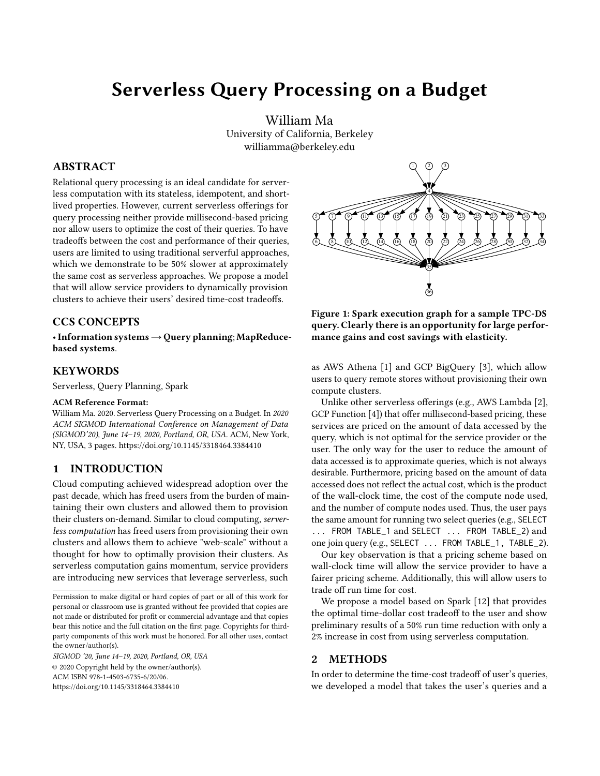# Serverless Query Processing on a Budget

William Ma University of California, Berkeley williamma@berkeley.edu

# ABSTRACT

Relational query processing is an ideal candidate for serverless computation with its stateless, idempotent, and shortlived properties. However, current serverless offerings for query processing neither provide millisecond-based pricing nor allow users to optimize the cost of their queries. To have tradeoffs between the cost and performance of their queries, users are limited to using traditional serverful approaches, which we demonstrate to be 50% slower at approximately the same cost as serverless approaches. We propose a model that will allow service providers to dynamically provision clusters to achieve their users' desired time-cost tradeoffs.

### CCS CONCEPTS

•Information systems→Query planning; MapReducebased systems.

# **KEYWORDS**

Serverless, Query Planning, Spark

#### ACM Reference Format:

William Ma. 2020. Serverless Query Processing on a Budget. In 2020 ACM SIGMOD International Conference on Management of Data (SIGMOD'20), June 14–19, 2020, Portland, OR, USA. ACM, New York, NY, USA, [3](#page-2-0) pages.<https://doi.org/10.1145/3318464.3384410>

# 1 INTRODUCTION

Cloud computing achieved widespread adoption over the past decade, which has freed users from the burden of maintaining their own clusters and allowed them to provision their clusters on-demand. Similar to cloud computing, serverless computation has freed users from provisioning their own clusters and allows them to achieve "web-scale" without a thought for how to optimally provision their clusters. As serverless computation gains momentum, service providers are introducing new services that leverage serverless, such

SIGMOD '20, June 14–19, 2020, Portland, OR, USA © 2020 Copyright held by the owner/author(s). ACM ISBN 978-1-4503-6735-6/20/06. <https://doi.org/10.1145/3318464.3384410>

<span id="page-0-0"></span>

Figure 1: Spark execution graph for a sample TPC-DS query. Clearly there is an opportunity for large performance gains and cost savings with elasticity.

as AWS Athena [\[1\]](#page-2-1) and GCP BigQuery [\[3\]](#page-2-2), which allow users to query remote stores without provisioning their own compute clusters.

Unlike other serverless offerings (e.g., AWS Lambda [\[2\]](#page-2-3), GCP Function [\[4\]](#page-2-4)) that offer millisecond-based pricing, these services are priced on the amount of data accessed by the query, which is not optimal for the service provider or the user. The only way for the user to reduce the amount of data accessed is to approximate queries, which is not always desirable. Furthermore, pricing based on the amount of data accessed does not reflect the actual cost, which is the product of the wall-clock time, the cost of the compute node used, and the number of compute nodes used. Thus, the user pays the same amount for running two select queries (e.g., SELECT ... FROM TABLE\_1 and SELECT ... FROM TABLE\_2) and one join query (e.g., SELECT ... FROM TABLE\_1, TABLE\_2).

Our key observation is that a pricing scheme based on wall-clock time will allow the service provider to have a fairer pricing scheme. Additionally, this will allow users to trade off run time for cost.

We propose a model based on Spark [\[12\]](#page-2-5) that provides the optimal time-dollar cost tradeoff to the user and show preliminary results of a 50% run time reduction with only a 2% increase in cost from using serverless computation.

#### 2 METHODS

In order to determine the time-cost tradeoff of user's queries, we developed a model that takes the user's queries and a

Permission to make digital or hard copies of part or all of this work for personal or classroom use is granted without fee provided that copies are not made or distributed for profit or commercial advantage and that copies bear this notice and the full citation on the first page. Copyrights for thirdparty components of this work must be honored. For all other uses, contact the owner/author(s).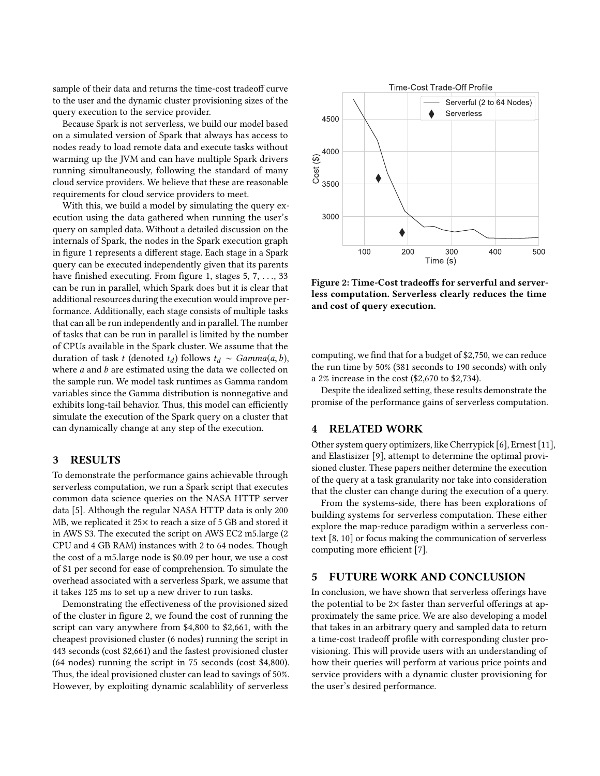sample of their data and returns the time-cost tradeoff curve to the user and the dynamic cluster provisioning sizes of the query execution to the service provider.

Because Spark is not serverless, we build our model based on a simulated version of Spark that always has access to nodes ready to load remote data and execute tasks without warming up the JVM and can have multiple Spark drivers running simultaneously, following the standard of many cloud service providers. We believe that these are reasonable requirements for cloud service providers to meet.

With this, we build a model by simulating the query execution using the data gathered when running the user's query on sampled data. Without a detailed discussion on the internals of Spark, the nodes in the Spark execution graph in figure [1](#page-0-0) represents a different stage. Each stage in a Spark query can be executed independently given that its parents have finished executing. From figure [1,](#page-0-0) stages 5, 7, ..., 33 can be run in parallel, which Spark does but it is clear that additional resources during the execution would improve performance. Additionally, each stage consists of multiple tasks that can all be run independently and in parallel. The number of tasks that can be run in parallel is limited by the number of CPUs available in the Spark cluster. We assume that the duration of task t (denoted  $t_d$ ) follows  $t_d \sim \text{Gamma}(a, b)$ , where *a* and *b* are estimated using the data we collected on the sample run. We model task runtimes as Gamma random variables since the Gamma distribution is nonnegative and exhibits long-tail behavior. Thus, this model can efficiently simulate the execution of the Spark query on a cluster that can dynamically change at any step of the execution.

#### 3 RESULTS

To demonstrate the performance gains achievable through serverless computation, we run a Spark script that executes common data science queries on the NASA HTTP server data [\[5\]](#page-2-6). Although the regular NASA HTTP data is only 200 MB, we replicated it 25× to reach a size of 5 GB and stored it in AWS S3. The executed the script on AWS EC2 m5.large (2 CPU and 4 GB RAM) instances with 2 to 64 nodes. Though the cost of a m5.large node is \$0.09 per hour, we use a cost of \$1 per second for ease of comprehension. To simulate the overhead associated with a serverless Spark, we assume that it takes 125 ms to set up a new driver to run tasks.

Demonstrating the effectiveness of the provisioned sized of the cluster in figure [2,](#page-1-0) we found the cost of running the script can vary anywhere from \$4,800 to \$2,661, with the cheapest provisioned cluster (6 nodes) running the script in 443 seconds (cost \$2,661) and the fastest provisioned cluster (64 nodes) running the script in 75 seconds (cost \$4,800). Thus, the ideal provisioned cluster can lead to savings of 50%. However, by exploiting dynamic scalablility of serverless

<span id="page-1-0"></span>

Figure 2: Time-Cost tradeoffs for serverful and serverless computation. Serverless clearly reduces the time and cost of query execution.

computing, we find that for a budget of \$2,750, we can reduce the run time by 50% (381 seconds to 190 seconds) with only a 2% increase in the cost (\$2,670 to \$2,734).

Despite the idealized setting, these results demonstrate the promise of the performance gains of serverless computation.

#### 4 RELATED WORK

Other system query optimizers, like Cherrypick [\[6\]](#page-2-7), Ernest [\[11\]](#page-2-8), and Elastisizer [\[9\]](#page-2-9), attempt to determine the optimal provisioned cluster. These papers neither determine the execution of the query at a task granularity nor take into consideration that the cluster can change during the execution of a query.

From the systems-side, there has been explorations of building systems for serverless computation. These either explore the map-reduce paradigm within a serverless context [\[8,](#page-2-10) [10\]](#page-2-11) or focus making the communication of serverless computing more efficient [\[7\]](#page-2-12).

## 5 FUTURE WORK AND CONCLUSION

In conclusion, we have shown that serverless offerings have the potential to be  $2\times$  faster than serverful offerings at approximately the same price. We are also developing a model that takes in an arbitrary query and sampled data to return a time-cost tradeoff profile with corresponding cluster provisioning. This will provide users with an understanding of how their queries will perform at various price points and service providers with a dynamic cluster provisioning for the user's desired performance.